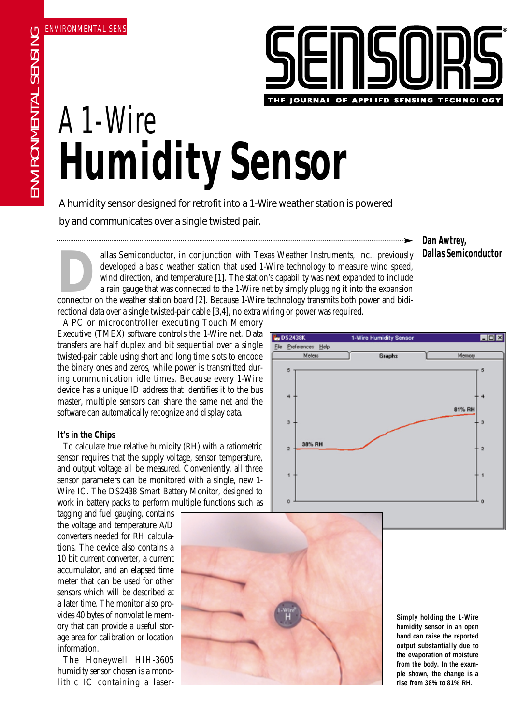

# A 1-Wire **Humidity Sensor**

A humidity sensor designed for retrofit into a 1-Wire weather station is powered

by and communicates over a single twisted pair.

allas Semiconductor, in conjunction with Texas Weather Instruments, Inc., previously developed a basic weather station that used 1-Wire technology to measure wind speed, wind direction, and temperature [1]. The station's c developed a basic weather station that used 1-Wire technology to measure wind speed, wind direction, and temperature [1]. The station's capability was next expanded to include a rain gauge that was connected to the 1-Wire net by simply plugging it into the expansion rectional data over a single twisted-pair cable [3,4], no extra wiring or power was required.

A PC or microcontroller executing Touch Memory Executive (TMEX) software controls the 1-Wire net. Data transfers are half duplex and bit sequential over a single twisted-pair cable using short and long time slots to encode the binary ones and zeros, while power is transmitted during communication idle times. Because every 1-Wire device has a unique ID address that identifies it to the bus master, multiple sensors can share the same net and the software can automatically recognize and display data.

# **It's in the Chips**

To calculate true relative humidity (RH) with a ratiometric sensor requires that the supply voltage, sensor temperature, and output voltage all be measured. Conveniently, all three sensor parameters can be monitored with a single, new 1- Wire IC. The DS2438 Smart Battery Monitor, designed to work in battery packs to perform multiple functions such as

tagging and fuel gauging, contains the voltage and temperature A/D converters needed for RH calculations. The device also contains a 10 bit current converter, a current accumulator, and an elapsed time meter that can be used for other sensors which will be described at a later time. The monitor also provides 40 bytes of nonvolatile memory that can provide a useful storage area for calibration or location information.

The Honeywell HIH-3605 humidity sensor chosen is a monolithic IC containing a laser-





**Simply holding the 1-Wire humidity sensor in an open hand can raise the reported output substantially due to the evaporation of moisture from the body. In the example shown, the change is a rise from 38% to 81% RH.**

**Dan Awtrey, Dallas Semiconductor**